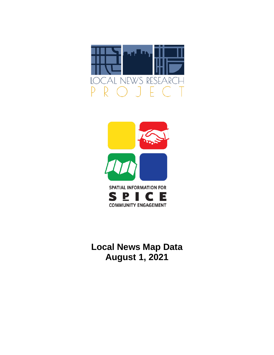



**Local News Map Data August 1, 2021**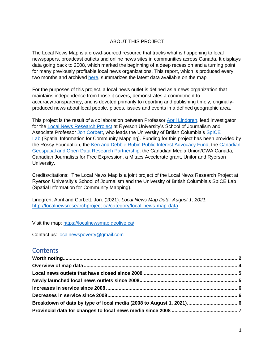#### ABOUT THIS PROJECT

The Local News Map is a crowd-sourced resource that tracks what is happening to local newspapers, broadcast outlets and online news sites in communities across Canada. It displays data going back to 2008, which marked the beginning of a deep recession and a turning point for many previously profitable local news organizations. This report, which is produced every two months and archived [here,](http://localnewsresearchproject.ca/category/local-news-map-data) summarizes the latest data available on the map.

For the purposes of this project, a local news outlet is defined as a news organization that maintains independence from those it covers, demonstrates a commitment to accuracy/transparency, and is devoted primarily to reporting and publishing timely, originallyproduced news about local people, places, issues and events in a defined geographic area.

This project is the result of a collaboration between Professor [April Lindgren,](http://rsj.journalism.ryerson.ca/team/april-lindgren/) lead investigator for the [Local News Research Project](http://localnewsresearchproject.ca/) at Ryerson University's School of Journalism and Associate Professor [Jon Corbett,](http://joncorbett.com/JonCorbett/Home.html) who leads the University of British Columbia's [SpICE](http://spice.geolive.ca/)  [Lab](http://spice.geolive.ca/) (Spatial Information for Community Mapping). Funding for this project has been provided by the Rossy Foundation, the [Ken and Debbie Rubin Public Interest Advocacy Fund,](http://kenrubin.ca/grants/) the [Canadian](http://geothink.ca/)  [Geospatial and Open Data Research Partnership,](http://geothink.ca/) the Canadian Media Union/CWA Canada, Canadian Journalists for Free Expression, a Mitacs Accelerate grant, Unifor and Ryerson University.

Credits/citations: The Local News Map is a joint project of the Local News Research Project at Ryerson University's School of Journalism and the University of British Columbia's SpICE Lab (Spatial Information for Community Mapping).

Lindgren, April and Corbett, Jon. (2021). *Local News Map Data: August 1, 2021.*  <http://localnewsresearchproject.ca/category/local-news-map-data>

Visit the map:<https://localnewsmap.geolive.ca/>

Contact us: [localnewspoverty@gmail.com](mailto:localnewspoverty@gmail.com)

### **Contents**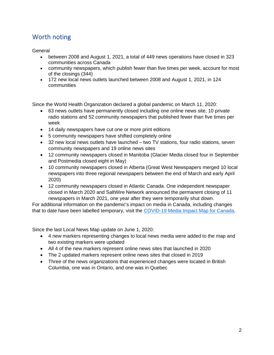## <span id="page-2-0"></span>Worth noting

<span id="page-2-1"></span>General

- between 2008 and August 1, 2021, a total of 449 news operations have closed in 323 communities across Canada
- community newspapers, which publish fewer than five times per week, account for most of the closings (344)
- 172 new local news outlets launched between 2008 and August 1, 2021, in 124 communities

Since the World Health Organization declared a global pandemic on March 11, 2020:

- 63 news outlets have permanently closed including one online news site, 10 private radio stations and 52 community newspapers that published fewer than five times per week
- 14 daily newspapers have cut one or more print editions
- 5 community newspapers have shifted completely online
- 32 new local news outlets have launched two TV stations, four radio stations, seven community newspapers and 19 online news sites
- 12 community newspapers closed in Manitoba (Glacier Media closed four in September and Postmedia closed eight in May)
- 10 community newspapers closed in Alberta (Great West Newspapers merged 10 local newspapers into three regional newspapers between the end of March and early April 2020)
- 12 community newspapers closed in Atlantic Canada. One independent newspaper closed in March 2020 and SaltWire Network announced the permanent closing of 11 newspapers in March 2021, one year after they were temporarily shut down.

For additional information on the pandemic's impact on media in Canada, including changes that to date have been labelled temporary, visit the [COVID-19 Media Impact Map for Canada.](https://localnewsresearchproject.ca/covid-19-media-impact-map-for-canada/)

Since the last Local News Map update on June 1, 2020:

- 4 new markers representing changes to local news media were added to the map and two existing markers were updated
- All 4 of the new markers represent online news sites that launched in 2020
- The 2 updated markers represent online news sites that closed in 2019
- Three of the news organizations that experienced changes were located in British Columbia, one was in Ontario, and one was in Quebec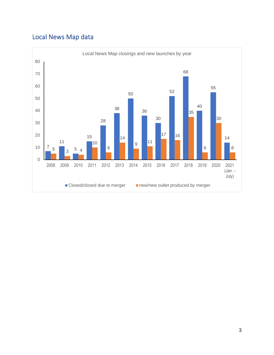# Local News Map data

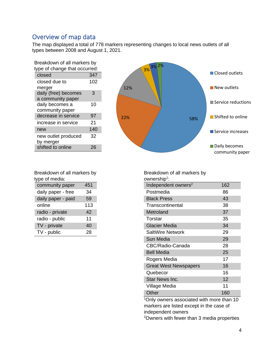### Overview of map data

The map displayed a total of 778 markers representing changes to local news outlets of all types between 2008 and August 1, 2021.

| Breakdown of all markers by               |     |  |  |  |
|-------------------------------------------|-----|--|--|--|
| type of change that occurred:             |     |  |  |  |
| closed                                    | 347 |  |  |  |
| closed due to<br>merger                   | 102 |  |  |  |
| daily (free) becomes<br>a community paper | 3   |  |  |  |
| daily becomes a<br>community paper        | 10  |  |  |  |
| decrease in service                       | 97  |  |  |  |
| increase in service                       | 21  |  |  |  |
| new                                       | 140 |  |  |  |
| new outlet produced<br>by merger          | 32  |  |  |  |
| shifted to online                         | 26  |  |  |  |



| Breakdown of all markers by |     |  |  |  |
|-----------------------------|-----|--|--|--|
| type of media:              |     |  |  |  |
| community paper             | 451 |  |  |  |
| daily paper - free          | 34  |  |  |  |

| daily paper - paid | 59  |
|--------------------|-----|
| online             | 113 |
| radio - private    | 42  |
| radio - public     | 11  |
| TV - private       | 40  |
| TV - public        | 28  |

Breakdown of all markers by ownership<sup>1</sup>: Independent owners<sup>2</sup> 162 Postmedia 86 Black Press 43 Transcontinental 38 Metroland 37 Torstar 35 Glacier Media 34 SaltWire Network 29 Sun Media 29 CBC/Radio-Canada 28 Bell Media 25 Rogers Media 17 Great West Newspapers 16 Quebecor 16 Star News Inc. 12 Village Media 11

<sup>1</sup>Only owners associated with more than 10 markers are listed except in the case of independent owners

Other 160

<sup>2</sup>Owners with fewer than 3 media properties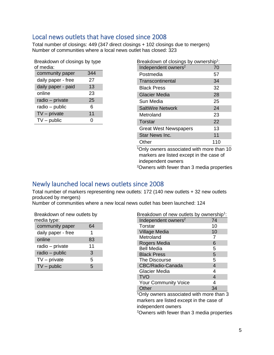### <span id="page-5-0"></span>Local news outlets that have closed since 2008

Total number of closings: 449 (347 direct closings + 102 closings due to mergers) Number of communities where a local news outlet has closed: 323

| Breakdown of closings by type |     |  |  |  |
|-------------------------------|-----|--|--|--|
| of media:                     |     |  |  |  |
| community paper               | 344 |  |  |  |
| daily paper - free            | 27  |  |  |  |
| daily paper - paid            | 13  |  |  |  |
| online                        | 23  |  |  |  |
| radio - private               | 25  |  |  |  |
| radio - public                | 6   |  |  |  |
| $TV$ – private                | 11  |  |  |  |
| $TV$ – public                 |     |  |  |  |

| Breakdown of closings by ownership <sup>1</sup> : |     |  |  |  |
|---------------------------------------------------|-----|--|--|--|
| Independent owners <sup>2</sup>                   | 70  |  |  |  |
| Postmedia                                         | 57  |  |  |  |
| Transcontinental                                  | 34  |  |  |  |
| <b>Black Press</b>                                | 32  |  |  |  |
| <b>Glacier Media</b>                              | 28  |  |  |  |
| Sun Media                                         | 25  |  |  |  |
| <b>SaltWire Network</b>                           | 24  |  |  |  |
| Metroland                                         | 23  |  |  |  |
| Torstar                                           | 22  |  |  |  |
| <b>Great West Newspapers</b>                      | 13  |  |  |  |
| Star News Inc.                                    | 11  |  |  |  |
| Other                                             | 110 |  |  |  |
| $1$ Only owners associated with more than 10      |     |  |  |  |

Only owners associated with more than 10 markers are listed except in the case of independent owners

<sup>2</sup>Owners with fewer than 3 media properties

### <span id="page-5-1"></span>Newly launched local news outlets since 2008

Total number of markers representing new outlets: 172 (140 new outlets + 32 new outlets produced by mergers)

Number of communities where a new local news outlet has been launched: 124

| Breakdown of new outlets by<br>media type: |    |  |  |  |
|--------------------------------------------|----|--|--|--|
| community paper                            | 64 |  |  |  |
| daily paper - free                         | 1  |  |  |  |
| online                                     | 83 |  |  |  |
| radio - private                            | 11 |  |  |  |
| radio - public                             | 3  |  |  |  |
| $TV$ – private                             | 5  |  |  |  |
| $TV$ – public                              | 5  |  |  |  |

| Breakdown of new outlets by ownership <sup>1</sup> :   |    |  |  |  |
|--------------------------------------------------------|----|--|--|--|
| Independent owners <sup>2</sup>                        | 74 |  |  |  |
| Torstar                                                | 10 |  |  |  |
| <b>Village Media</b>                                   | 10 |  |  |  |
| Metroland                                              | 7  |  |  |  |
| Rogers Media                                           | 6  |  |  |  |
| Bell Media                                             | 5  |  |  |  |
| <b>Black Press</b>                                     | 5  |  |  |  |
| The Discourse                                          | 5  |  |  |  |
| CBC/Radio-Canada                                       | 4  |  |  |  |
| Glacier Media                                          | 4  |  |  |  |
| TVO                                                    | 4  |  |  |  |
| <b>Your Community Voice</b>                            | 4  |  |  |  |
| Other                                                  | 34 |  |  |  |
| <sup>1</sup> Only owners associated with more than 3   |    |  |  |  |
| markers are listed except in the case of               |    |  |  |  |
| independent owners                                     |    |  |  |  |
| <sup>2</sup> Owners with fewer than 3 media properties |    |  |  |  |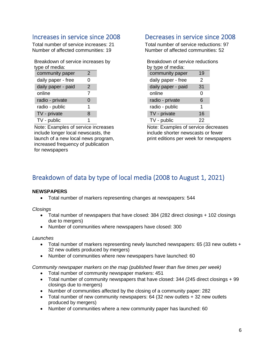### <span id="page-6-0"></span>Increases in service since 2008

Total number of service increases: 21 Number of affected communities: 19

| Breakdown of service increases by<br>type of media: |   |  |
|-----------------------------------------------------|---|--|
| community paper                                     | 2 |  |
| daily paper - free                                  | O |  |
| daily paper - paid                                  | 2 |  |
| online                                              | 7 |  |
| radio - private                                     | 0 |  |
| radio - public                                      | 1 |  |
| TV - private                                        | 8 |  |
| TV - public                                         |   |  |

Note: Examples of service increases include longer local newscasts, the launch of a new local news program, increased frequency of publication for newspapers

### <span id="page-6-1"></span>Decreases in service since 2008

Total number of service reductions: 97 Number of affected communities: 52

| Breakdown of service reductions |    |  |  |  |  |
|---------------------------------|----|--|--|--|--|
| by type of media:               |    |  |  |  |  |
| community paper                 | 19 |  |  |  |  |
| daily paper - free              | 2  |  |  |  |  |
| daily paper - paid              | 31 |  |  |  |  |
| online                          | 0  |  |  |  |  |
| radio - private                 | 6  |  |  |  |  |
| radio - public                  | 1  |  |  |  |  |
| TV - private                    | 16 |  |  |  |  |
| TV - public                     | 22 |  |  |  |  |

Note: Examples of service decreases include shorter newscasts or fewer print editions per week for newspapers

## <span id="page-6-2"></span>Breakdown of data by type of local media (2008 to August 1, 2021)

#### **NEWSPAPERS**

• Total number of markers representing changes at newspapers: 544

*Closings*

- Total number of newspapers that have closed: 384 (282 direct closings + 102 closings due to mergers)
- Number of communities where newspapers have closed: 300

#### *Launches*

- Total number of markers representing newly launched newspapers: 65 (33 new outlets + 32 new outlets produced by mergers)
- Number of communities where new newspapers have launched: 60

*Community newspaper markers on the map (published fewer than five times per week)* 

- Total number of community newspaper markers: 451
- Total number of community newspapers that have closed: 344 (245 direct closings + 99 closings due to mergers)
- Number of communities affected by the closing of a community paper: 282
- Total number of new community newspapers: 64 (32 new outlets + 32 new outlets produced by mergers)
- Number of communities where a new community paper has launched: 60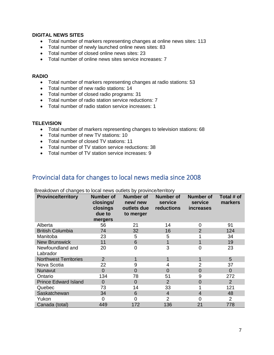#### **DIGITAL NEWS SITES**

- Total number of markers representing changes at online news sites: 113
- Total number of newly launched online news sites: 83
- Total number of closed online news sites: 23
- Total number of online news sites service increases: 7

#### **RADIO**

- Total number of markers representing changes at radio stations: 53
- Total number of new radio stations: 14
- Total number of closed radio programs: 31
- Total number of radio station service reductions: 7
- Total number of radio station service increases: 1

#### **TELEVISION**

- Total number of markers representing changes to television stations: 68
- Total number of new TV stations: 10
- Total number of closed TV stations: 11
- Total number of TV station service reductions: 38
- Total number of TV station service increases: 9

### <span id="page-7-0"></span>Provincial data for changes to local news media since 2008

| <b>Province/territory</b>    | <b>Number of</b><br>closings/<br>closings<br>due to<br>mergers | <b>Number of</b><br>new/new<br>outlets due<br>to merger | <b>Number of</b><br>service<br>reductions | <b>Number of</b><br>service<br><b>increases</b> | Total # of<br>markers |
|------------------------------|----------------------------------------------------------------|---------------------------------------------------------|-------------------------------------------|-------------------------------------------------|-----------------------|
| Alberta                      | 56                                                             | 21                                                      | 14                                        | 0                                               | 91                    |
| <b>British Columbia</b>      | 74                                                             | 32                                                      | 16                                        | $\overline{2}$                                  | 124                   |
| Manitoba                     | 23                                                             | 5                                                       | 5                                         |                                                 | 34                    |
| <b>New Brunswick</b>         | 11                                                             | 6                                                       |                                           | 1                                               | 19                    |
| Newfoundland and<br>Labrador | 20                                                             | $\overline{0}$                                          | 3                                         | $\overline{0}$                                  | 23                    |
| <b>Northwest Territories</b> | $\overline{2}$                                                 |                                                         |                                           | 1                                               | 5                     |
| Nova Scotia                  | 22                                                             | 9                                                       | 4                                         | $\overline{2}$                                  | 37                    |
| Nunavut                      | $\overline{0}$                                                 | 0                                                       | $\Omega$                                  | 0                                               | $\overline{0}$        |
| Ontario                      | 134                                                            | 78                                                      | 51                                        | 9                                               | 272                   |
| <b>Prince Edward Island</b>  | $\overline{0}$                                                 | $\Omega$                                                | $\overline{2}$                            | $\overline{0}$                                  | $\overline{2}$        |
| Quebec                       | 73                                                             | 14                                                      | 33                                        |                                                 | 121                   |
| Saskatchewan                 | 34                                                             | 6                                                       | $\overline{4}$                            | 4                                               | 48                    |
| Yukon                        | 0                                                              | 0                                                       | 2                                         | 0                                               | $\overline{2}$        |
| Canada (total)               | 449                                                            | 172                                                     | 136                                       | 21                                              | 778                   |

Breakdown of changes to local news outlets by province/territory